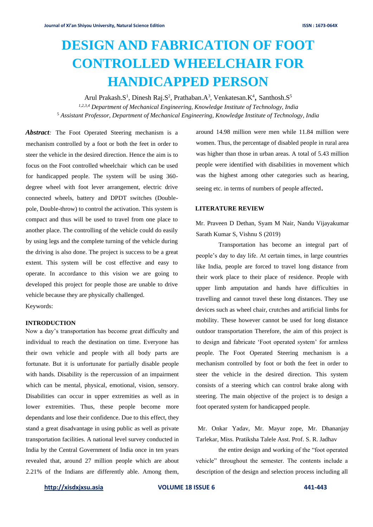# **DESIGN AND FABRICATION OF FOOT CONTROLLED WHEELCHAIR FOR HANDICAPPED PERSON**

Arul Prakash.S<sup>1</sup>, Dinesh Raj.S<sup>2</sup>, Prathaban.A<sup>3</sup>, Venkatesan.K<sup>4</sup>, Santhosh.S<sup>5</sup> *1,2,3,4 Department of Mechanical Engineering, Knowledge Institute of Technology, India* <sup>5</sup> *Assistant Professor, Department of Mechanical Engineering, Knowledge Institute of Technology, India*

*Abstract:* The Foot Operated Steering mechanism is a mechanism controlled by a foot or both the feet in order to steer the vehicle in the desired direction. Hence the aim is to focus on the Foot controlled wheelchair which can be used for handicapped people. The system will be using 360 degree wheel with foot lever arrangement, electric drive connected wheels, battery and DPDT switches (Doublepole, Double-throw) to control the activation. This system is compact and thus will be used to travel from one place to another place. The controlling of the vehicle could do easily by using legs and the complete turning of the vehicle during the driving is also done. The project is success to be a great extent. This system will be cost effective and easy to operate. In accordance to this vision we are going to developed this project for people those are unable to drive vehicle because they are physically challenged. Keywords:

#### **INTRODUCTION**

Now a day's transportation has become great difficulty and individual to reach the destination on time. Everyone has their own vehicle and people with all body parts are fortunate. But it is unfortunate for partially disable people with hands. Disability is the repercussion of an impairment which can be mental, physical, emotional, vision, sensory. Disabilities can occur in upper extremities as well as in lower extremities. Thus, these people become more dependants and lose their confidence. Due to this effect, they stand a great disadvantage in using public as well as private transportation facilities. A national level survey conducted in India by the Central Government of India once in ten years revealed that, around 27 million people which are about 2.21% of the Indians are differently able. Among them,

around 14.98 million were men while 11.84 million were women. Thus, the percentage of disabled people in rural area was higher than those in urban areas. A total of 5.43 million people were identified with disabilities in movement which was the highest among other categories such as hearing, seeing etc. in terms of numbers of people affected.

#### **LITERATURE REVIEW**

Mr. Praveen D Dethan, Syam M Nair, Nandu Vijayakumar Sarath Kumar S, Vishnu S (2019)

Transportation has become an integral part of people's day to day life. At certain times, in large countries like India, people are forced to travel long distance from their work place to their place of residence. People with upper limb amputation and hands have difficulties in travelling and cannot travel these long distances. They use devices such as wheel chair, crutches and artificial limbs for mobility. These however cannot be used for long distance outdoor transportation Therefore, the aim of this project is to design and fabricate 'Foot operated system' for armless people. The Foot Operated Steering mechanism is a mechanism controlled by foot or both the feet in order to steer the vehicle in the desired direction. This system consists of a steering which can control brake along with steering. The main objective of the project is to design a foot operated system for handicapped people.

Mr. Onkar Yadav, Mr. Mayur zope, Mr. Dhananjay Tarlekar, Miss. Pratiksha Talele Asst. Prof. S. R. Jadhav

the entire design and working of the "foot operated vehicle" throughout the semester. The contents include a description of the design and selection process including all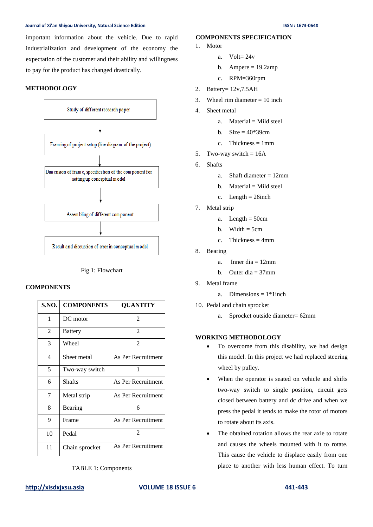#### **Journal of Xi'an Shiyou University, Natural Science Edition ISSN : 1673-064X**

important information about the vehicle. Due to rapid industrialization and development of the economy the expectation of the customer and their ability and willingness to pay for the product has changed drastically.

# **METHODOLOGY**



Fig 1: Flowchart

# **COMPONENTS**

| S.NO. | <b>COMPONENTS</b> | <b>QUANTITY</b>    |
|-------|-------------------|--------------------|
| 1     | DC motor          | $\mathfrak{D}$     |
| 2     | <b>Battery</b>    | 2                  |
| 3     | Wheel             | 2                  |
| 4     | Sheet metal       | As Per Recruitment |
| 5     | Two-way switch    | 1                  |
| 6     | <b>Shafts</b>     | As Per Recruitment |
| 7     | Metal strip       | As Per Recruitment |
| 8     | Bearing           | 6                  |
| 9     | Frame             | As Per Recruitment |
| 10    | Pedal             | $\mathfrak{D}$     |
| 11    | Chain sprocket    | As Per Recruitment |

TABLE 1: Components

# **COMPONENTS SPECIFICATION**

- 1. Motor
	- a. Volt=  $24v$
	- b. Ampere  $= 19.2$ amp
	- c. RPM=360rpm
- 2. Battery= 12v,7.5AH
- 3. Wheel rim diameter  $= 10$  inch
- 4. Sheet metal
	- a. Material  $=$  Mild steel
	- b. Size  $= 40*39cm$
	- c. Thickness  $= 1$ mm
- 5. Two-way switch  $= 16A$
- 6. Shafts
	- a. Shaft diameter = 12mm
	- $b.$  Material = Mild steel
	- c. Length  $= 26$ inch
- 7. Metal strip
	- a. Length  $= 50cm$
	- b. Width  $=$  5cm
	- c. Thickness  $=$  4mm
- 8. Bearing
	- a. Inner dia  $= 12$ mm
	- b. Outer dia  $= 37$ mm
- 9. Metal frame
	- a. Dimensions  $= 1*1$  inch
- 10. Pedal and chain sprocket
	- a. Sprocket outside diameter= 62mm

#### **WORKING METHODOLOGY**

- To overcome from this disability, we had design this model. In this project we had replaced steering wheel by pulley.
- When the operator is seated on vehicle and shifts two-way switch to single position, circuit gets closed between battery and dc drive and when we press the pedal it tends to make the rotor of motors to rotate about its axis.
- The obtained rotation allows the rear axle to rotate and causes the wheels mounted with it to rotate. This cause the vehicle to displace easily from one place to another with less human effect. To turn